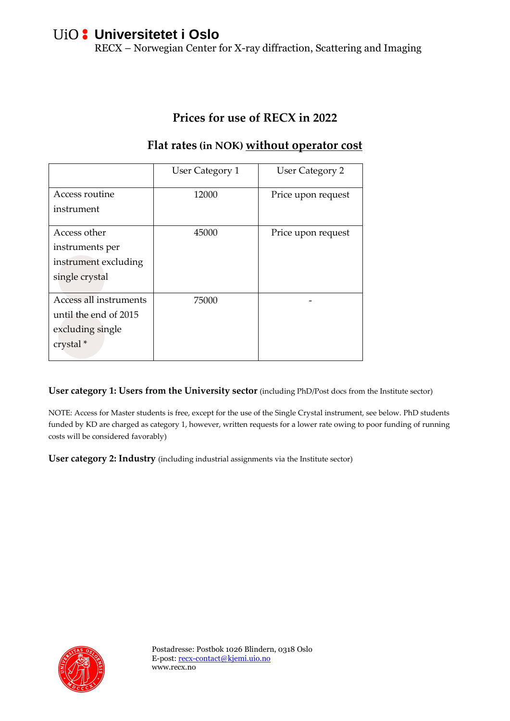# **Universitetet i Oslo**

RECX – Norwegian Center for X-ray diffraction, Scattering and Imaging

#### **Prices for use of RECX in 2022**

|                        | User Category 1 | <b>User Category 2</b> |
|------------------------|-----------------|------------------------|
| Access routine         | 12000           | Price upon request     |
| instrument             |                 |                        |
|                        |                 |                        |
| Access other           | 45000           | Price upon request     |
| instruments per        |                 |                        |
| instrument excluding   |                 |                        |
| single crystal         |                 |                        |
|                        |                 |                        |
| Access all instruments | 75000           |                        |
| until the end of 2015  |                 |                        |
| excluding single       |                 |                        |
| crystal *              |                 |                        |
|                        |                 |                        |

#### **Flat rates (in NOK) without operator cost**

**User category 1: Users from the University sector** (including PhD/Post docs from the Institute sector)

NOTE: Access for Master students is free, except for the use of the Single Crystal instrument, see below. PhD students funded by KD are charged as category 1, however, written requests for a lower rate owing to poor funding of running costs will be considered favorably)

**User category 2: Industry** (including industrial assignments via the Institute sector)

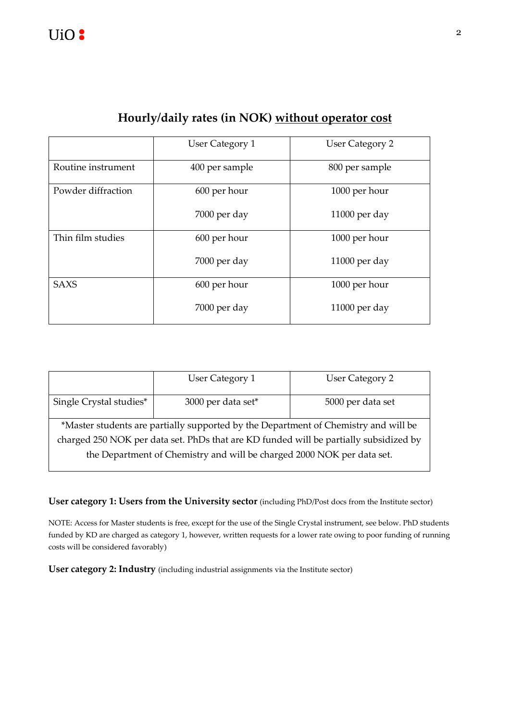|                    | <b>User Category 1</b> | <b>User Category 2</b> |  |
|--------------------|------------------------|------------------------|--|
| Routine instrument | 400 per sample         | 800 per sample         |  |
| Powder diffraction | 600 per hour           | 1000 per hour          |  |
|                    | 7000 per day           | $11000$ per day        |  |
| Thin film studies  | 600 per hour           | 1000 per hour          |  |
|                    | 7000 per day           | $11000$ per day        |  |
| <b>SAXS</b>        | 600 per hour           | 1000 per hour          |  |
|                    | 7000 per day           | $11000$ per day        |  |

### **Hourly/daily rates (in NOK) without operator cost**

|                                                                                       | User Category 1    | User Category 2   |  |  |  |
|---------------------------------------------------------------------------------------|--------------------|-------------------|--|--|--|
| Single Crystal studies*                                                               | 3000 per data set* | 5000 per data set |  |  |  |
| *Master students are partially supported by the Department of Chemistry and will be   |                    |                   |  |  |  |
| charged 250 NOK per data set. PhDs that are KD funded will be partially subsidized by |                    |                   |  |  |  |
| the Department of Chemistry and will be charged 2000 NOK per data set.                |                    |                   |  |  |  |

**User category 1: Users from the University sector** (including PhD/Post docs from the Institute sector)

NOTE: Access for Master students is free, except for the use of the Single Crystal instrument, see below. PhD students funded by KD are charged as category 1, however, written requests for a lower rate owing to poor funding of running costs will be considered favorably)

**User category 2: Industry** (including industrial assignments via the Institute sector)